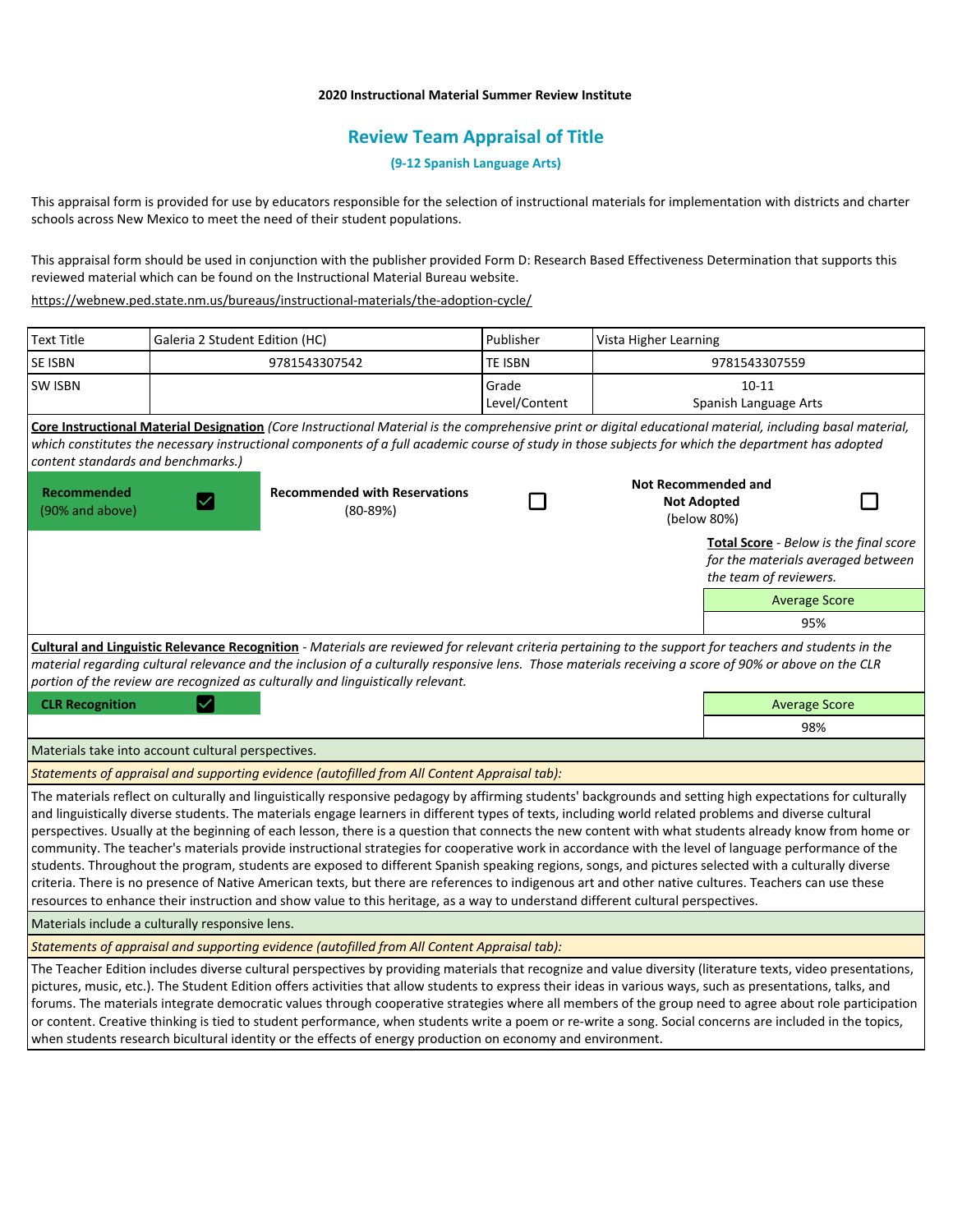#### **2020 Instructional Material Summer Review Institute**

# **Review Team Appraisal of Title**

**(9-12 Spanish Language Arts)**

This appraisal form is provided for use by educators responsible for the selection of instructional materials for implementation with districts and charter schools across New Mexico to meet the need of their student populations.

This appraisal form should be used in conjunction with the publisher provided Form D: Research Based Effectiveness Determination that supports this reviewed material which can be found on the Instructional Material Bureau website.

<https://webnew.ped.state.nm.us/bureaus/instructional-materials/the-adoption-cycle/>

| <b>Text Title</b>                                                                                                                                                                                                                                                                                                                                                                                   | Galeria 2 Student Edition (HC)              |                                                                                                                                                                                                                                                                                                                                                                                                                                                                                                                                                                                                                                                                                                                                                                                                                                                                                                                                                                                                                                                                                          | Publisher      | Vista Higher Learning                                           |                        |                                                                                     |  |  |
|-----------------------------------------------------------------------------------------------------------------------------------------------------------------------------------------------------------------------------------------------------------------------------------------------------------------------------------------------------------------------------------------------------|---------------------------------------------|------------------------------------------------------------------------------------------------------------------------------------------------------------------------------------------------------------------------------------------------------------------------------------------------------------------------------------------------------------------------------------------------------------------------------------------------------------------------------------------------------------------------------------------------------------------------------------------------------------------------------------------------------------------------------------------------------------------------------------------------------------------------------------------------------------------------------------------------------------------------------------------------------------------------------------------------------------------------------------------------------------------------------------------------------------------------------------------|----------------|-----------------------------------------------------------------|------------------------|-------------------------------------------------------------------------------------|--|--|
| SE ISBN                                                                                                                                                                                                                                                                                                                                                                                             |                                             | 9781543307542                                                                                                                                                                                                                                                                                                                                                                                                                                                                                                                                                                                                                                                                                                                                                                                                                                                                                                                                                                                                                                                                            | <b>TE ISBN</b> | 9781543307559                                                   |                        |                                                                                     |  |  |
| <b>SW ISBN</b>                                                                                                                                                                                                                                                                                                                                                                                      |                                             |                                                                                                                                                                                                                                                                                                                                                                                                                                                                                                                                                                                                                                                                                                                                                                                                                                                                                                                                                                                                                                                                                          | Grade          |                                                                 | $10 - 11$              |                                                                                     |  |  |
|                                                                                                                                                                                                                                                                                                                                                                                                     |                                             |                                                                                                                                                                                                                                                                                                                                                                                                                                                                                                                                                                                                                                                                                                                                                                                                                                                                                                                                                                                                                                                                                          | Level/Content  |                                                                 | Spanish Language Arts  |                                                                                     |  |  |
|                                                                                                                                                                                                                                                                                                                                                                                                     |                                             | Core Instructional Material Designation (Core Instructional Material is the comprehensive print or digital educational material, including basal material,                                                                                                                                                                                                                                                                                                                                                                                                                                                                                                                                                                                                                                                                                                                                                                                                                                                                                                                               |                |                                                                 |                        |                                                                                     |  |  |
| content standards and benchmarks.)                                                                                                                                                                                                                                                                                                                                                                  |                                             | which constitutes the necessary instructional components of a full academic course of study in those subjects for which the department has adopted                                                                                                                                                                                                                                                                                                                                                                                                                                                                                                                                                                                                                                                                                                                                                                                                                                                                                                                                       |                |                                                                 |                        |                                                                                     |  |  |
|                                                                                                                                                                                                                                                                                                                                                                                                     |                                             |                                                                                                                                                                                                                                                                                                                                                                                                                                                                                                                                                                                                                                                                                                                                                                                                                                                                                                                                                                                                                                                                                          |                |                                                                 |                        |                                                                                     |  |  |
| Recommended<br>(90% and above)                                                                                                                                                                                                                                                                                                                                                                      | $\vert\mathcal{\mathcal{\mathcal{L}}}\vert$ | <b>Recommended with Reservations</b><br>$(80-89%)$                                                                                                                                                                                                                                                                                                                                                                                                                                                                                                                                                                                                                                                                                                                                                                                                                                                                                                                                                                                                                                       |                | <b>Not Recommended and</b><br><b>Not Adopted</b><br>(below 80%) |                        |                                                                                     |  |  |
|                                                                                                                                                                                                                                                                                                                                                                                                     |                                             |                                                                                                                                                                                                                                                                                                                                                                                                                                                                                                                                                                                                                                                                                                                                                                                                                                                                                                                                                                                                                                                                                          |                |                                                                 | the team of reviewers. | <b>Total Score</b> - Below is the final score<br>for the materials averaged between |  |  |
|                                                                                                                                                                                                                                                                                                                                                                                                     |                                             |                                                                                                                                                                                                                                                                                                                                                                                                                                                                                                                                                                                                                                                                                                                                                                                                                                                                                                                                                                                                                                                                                          |                |                                                                 |                        | <b>Average Score</b>                                                                |  |  |
|                                                                                                                                                                                                                                                                                                                                                                                                     |                                             |                                                                                                                                                                                                                                                                                                                                                                                                                                                                                                                                                                                                                                                                                                                                                                                                                                                                                                                                                                                                                                                                                          |                |                                                                 |                        | 95%                                                                                 |  |  |
| Cultural and Linguistic Relevance Recognition - Materials are reviewed for relevant criteria pertaining to the support for teachers and students in the<br>material regarding cultural relevance and the inclusion of a culturally responsive lens. Those materials receiving a score of 90% or above on the CLR<br>portion of the review are recognized as culturally and linguistically relevant. |                                             |                                                                                                                                                                                                                                                                                                                                                                                                                                                                                                                                                                                                                                                                                                                                                                                                                                                                                                                                                                                                                                                                                          |                |                                                                 |                        |                                                                                     |  |  |
| <b>CLR Recognition</b>                                                                                                                                                                                                                                                                                                                                                                              |                                             |                                                                                                                                                                                                                                                                                                                                                                                                                                                                                                                                                                                                                                                                                                                                                                                                                                                                                                                                                                                                                                                                                          |                | <b>Average Score</b>                                            |                        |                                                                                     |  |  |
|                                                                                                                                                                                                                                                                                                                                                                                                     |                                             |                                                                                                                                                                                                                                                                                                                                                                                                                                                                                                                                                                                                                                                                                                                                                                                                                                                                                                                                                                                                                                                                                          |                |                                                                 |                        | 98%                                                                                 |  |  |
| Materials take into account cultural perspectives.                                                                                                                                                                                                                                                                                                                                                  |                                             |                                                                                                                                                                                                                                                                                                                                                                                                                                                                                                                                                                                                                                                                                                                                                                                                                                                                                                                                                                                                                                                                                          |                |                                                                 |                        |                                                                                     |  |  |
| Statements of appraisal and supporting evidence (autofilled from All Content Appraisal tab):                                                                                                                                                                                                                                                                                                        |                                             |                                                                                                                                                                                                                                                                                                                                                                                                                                                                                                                                                                                                                                                                                                                                                                                                                                                                                                                                                                                                                                                                                          |                |                                                                 |                        |                                                                                     |  |  |
|                                                                                                                                                                                                                                                                                                                                                                                                     |                                             | The materials reflect on culturally and linguistically responsive pedagogy by affirming students' backgrounds and setting high expectations for culturally<br>and linguistically diverse students. The materials engage learners in different types of texts, including world related problems and diverse cultural<br>perspectives. Usually at the beginning of each lesson, there is a question that connects the new content with what students already know from home or<br>community. The teacher's materials provide instructional strategies for cooperative work in accordance with the level of language performance of the<br>students. Throughout the program, students are exposed to different Spanish speaking regions, songs, and pictures selected with a culturally diverse<br>criteria. There is no presence of Native American texts, but there are references to indigenous art and other native cultures. Teachers can use these<br>resources to enhance their instruction and show value to this heritage, as a way to understand different cultural perspectives. |                |                                                                 |                        |                                                                                     |  |  |
| Materials include a culturally responsive lens.                                                                                                                                                                                                                                                                                                                                                     |                                             |                                                                                                                                                                                                                                                                                                                                                                                                                                                                                                                                                                                                                                                                                                                                                                                                                                                                                                                                                                                                                                                                                          |                |                                                                 |                        |                                                                                     |  |  |
| Statements of appraisal and supporting evidence (autofilled from All Content Appraisal tab):                                                                                                                                                                                                                                                                                                        |                                             |                                                                                                                                                                                                                                                                                                                                                                                                                                                                                                                                                                                                                                                                                                                                                                                                                                                                                                                                                                                                                                                                                          |                |                                                                 |                        |                                                                                     |  |  |
|                                                                                                                                                                                                                                                                                                                                                                                                     |                                             | The Teacher Edition includes diverse cultural perspectives by providing materials that recognize and value diversity (literature texts, video presentations,<br>pictures, music, etc.). The Student Edition offers activities that allow students to express their ideas in various ways, such as presentations, talks, and<br>forums. The materials integrate democratic values through cooperative strategies where all members of the group need to agree about role participation<br>or content. Creative thinking is tied to student performance, when students write a poem or re-write a song. Social concerns are included in the topics,<br>when students research bicultural identity or the effects of energy production on economy and environment.                                                                                                                                                                                                                                                                                                                          |                |                                                                 |                        |                                                                                     |  |  |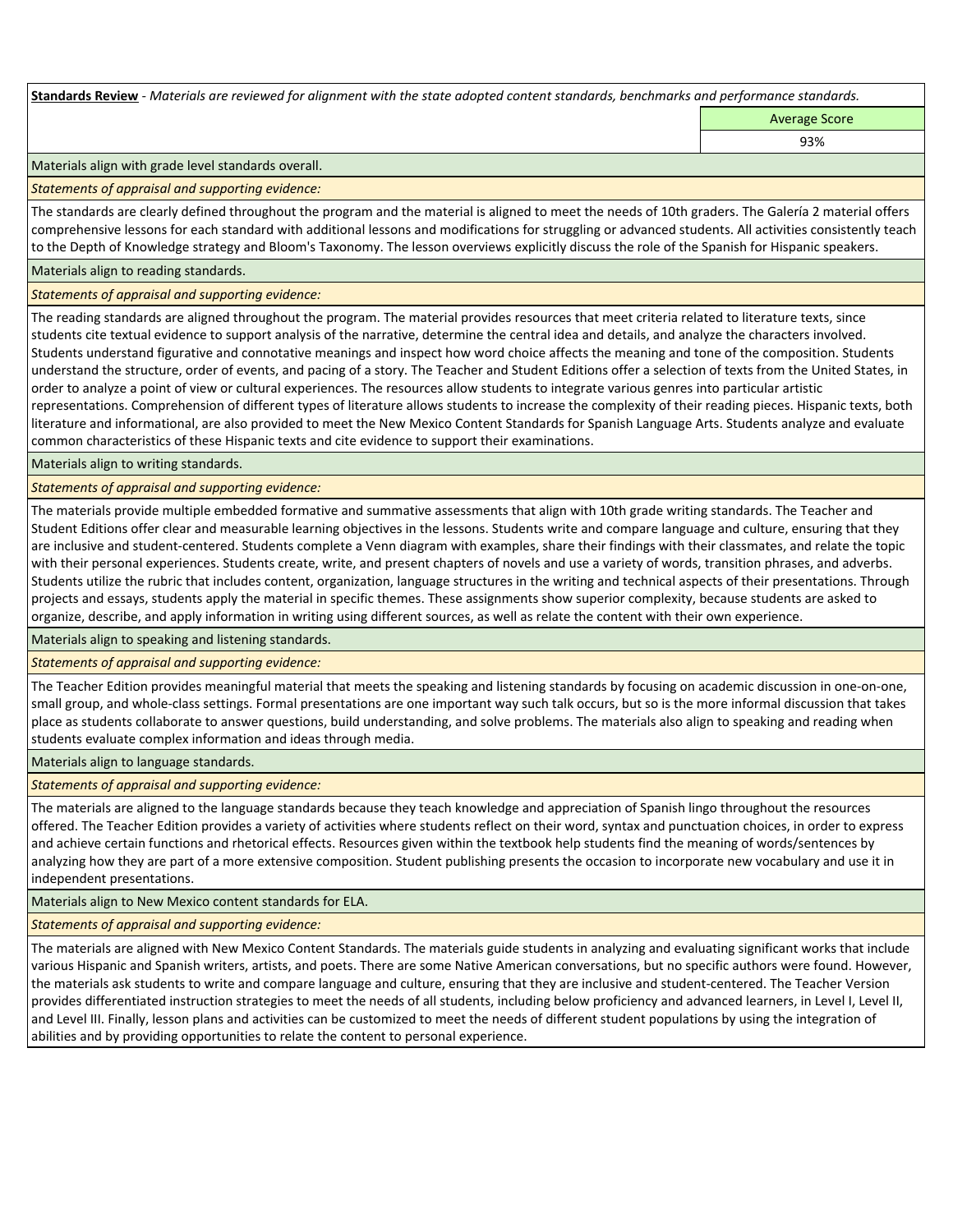**Standards Review** *- Materials are reviewed for alignment with the state adopted content standards, benchmarks and performance standards.*

Average Score 93%

Materials align with grade level standards overall.

*Statements of appraisal and supporting evidence:* 

The standards are clearly defined throughout the program and the material is aligned to meet the needs of 10th graders. The Galería 2 material offers comprehensive lessons for each standard with additional lessons and modifications for struggling or advanced students. All activities consistently teach to the Depth of Knowledge strategy and Bloom's Taxonomy. The lesson overviews explicitly discuss the role of the Spanish for Hispanic speakers.

Materials align to reading standards.

*Statements of appraisal and supporting evidence:* 

The reading standards are aligned throughout the program. The material provides resources that meet criteria related to literature texts, since students cite textual evidence to support analysis of the narrative, determine the central idea and details, and analyze the characters involved. Students understand figurative and connotative meanings and inspect how word choice affects the meaning and tone of the composition. Students understand the structure, order of events, and pacing of a story. The Teacher and Student Editions offer a selection of texts from the United States, in order to analyze a point of view or cultural experiences. The resources allow students to integrate various genres into particular artistic representations. Comprehension of different types of literature allows students to increase the complexity of their reading pieces. Hispanic texts, both literature and informational, are also provided to meet the New Mexico Content Standards for Spanish Language Arts. Students analyze and evaluate common characteristics of these Hispanic texts and cite evidence to support their examinations.

Materials align to writing standards.

*Statements of appraisal and supporting evidence:* 

The materials provide multiple embedded formative and summative assessments that align with 10th grade writing standards. The Teacher and Student Editions offer clear and measurable learning objectives in the lessons. Students write and compare language and culture, ensuring that they are inclusive and student-centered. Students complete a Venn diagram with examples, share their findings with their classmates, and relate the topic with their personal experiences. Students create, write, and present chapters of novels and use a variety of words, transition phrases, and adverbs. Students utilize the rubric that includes content, organization, language structures in the writing and technical aspects of their presentations. Through projects and essays, students apply the material in specific themes. These assignments show superior complexity, because students are asked to organize, describe, and apply information in writing using different sources, as well as relate the content with their own experience.

Materials align to speaking and listening standards.

*Statements of appraisal and supporting evidence:* 

The Teacher Edition provides meaningful material that meets the speaking and listening standards by focusing on academic discussion in one-on-one, small group, and whole-class settings. Formal presentations are one important way such talk occurs, but so is the more informal discussion that takes place as students collaborate to answer questions, build understanding, and solve problems. The materials also align to speaking and reading when students evaluate complex information and ideas through media.

Materials align to language standards.

*Statements of appraisal and supporting evidence:* 

The materials are aligned to the language standards because they teach knowledge and appreciation of Spanish lingo throughout the resources offered. The Teacher Edition provides a variety of activities where students reflect on their word, syntax and punctuation choices, in order to express and achieve certain functions and rhetorical effects. Resources given within the textbook help students find the meaning of words/sentences by analyzing how they are part of a more extensive composition. Student publishing presents the occasion to incorporate new vocabulary and use it in independent presentations.

Materials align to New Mexico content standards for ELA.

*Statements of appraisal and supporting evidence:* 

The materials are aligned with New Mexico Content Standards. The materials guide students in analyzing and evaluating significant works that include various Hispanic and Spanish writers, artists, and poets. There are some Native American conversations, but no specific authors were found. However, the materials ask students to write and compare language and culture, ensuring that they are inclusive and student-centered. The Teacher Version provides differentiated instruction strategies to meet the needs of all students, including below proficiency and advanced learners, in Level I, Level II, and Level III. Finally, lesson plans and activities can be customized to meet the needs of different student populations by using the integration of abilities and by providing opportunities to relate the content to personal experience.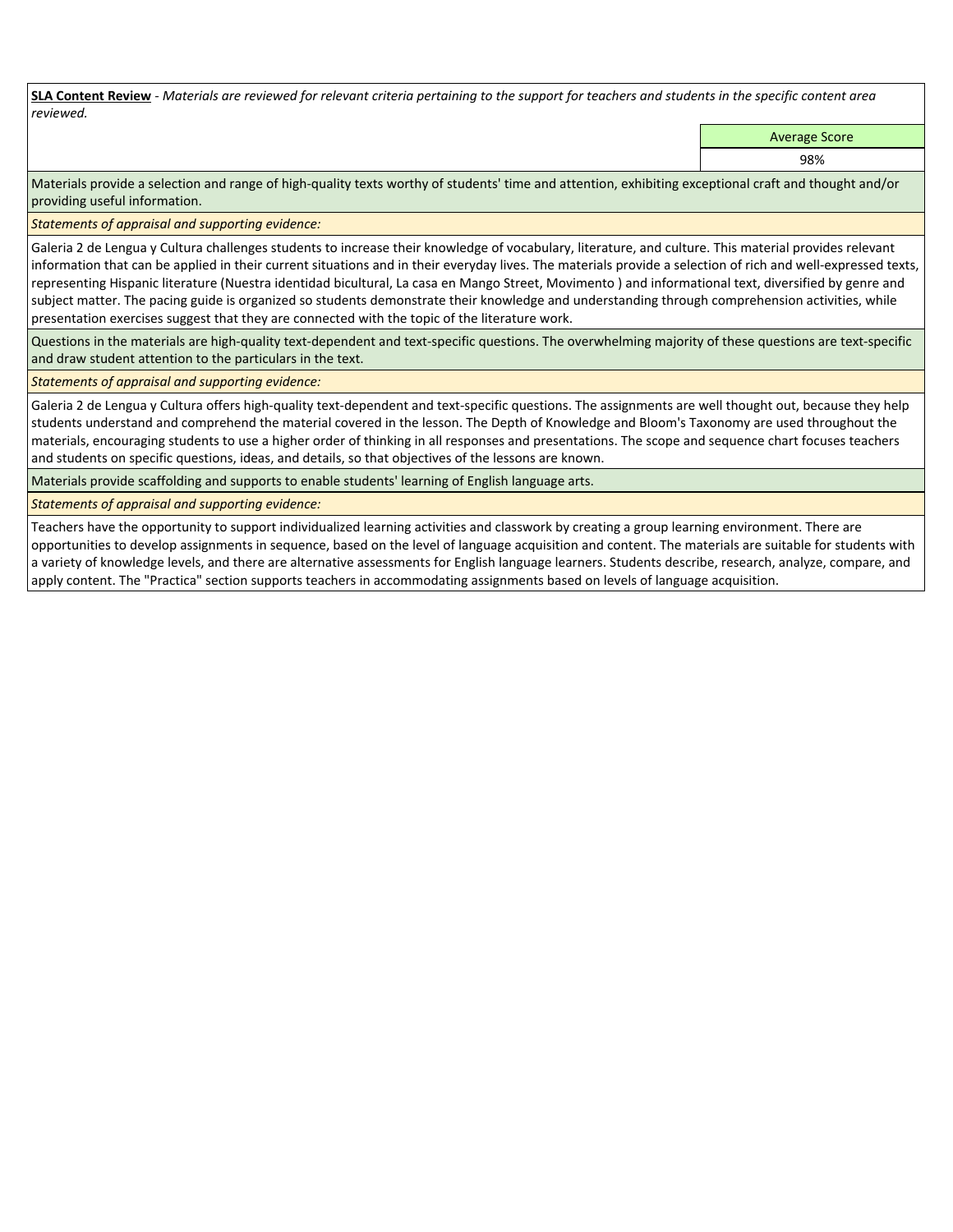**SLA Content Review** *- Materials are reviewed for relevant criteria pertaining to the support for teachers and students in the specific content area reviewed.*

Average Score

98%

Materials provide a selection and range of high-quality texts worthy of students' time and attention, exhibiting exceptional craft and thought and/or providing useful information.

*Statements of appraisal and supporting evidence:* 

Galeria 2 de Lengua y Cultura challenges students to increase their knowledge of vocabulary, literature, and culture. This material provides relevant information that can be applied in their current situations and in their everyday lives. The materials provide a selection of rich and well-expressed texts, representing Hispanic literature (Nuestra identidad bicultural, La casa en Mango Street, Movimento ) and informational text, diversified by genre and subject matter. The pacing guide is organized so students demonstrate their knowledge and understanding through comprehension activities, while presentation exercises suggest that they are connected with the topic of the literature work.

Questions in the materials are high-quality text-dependent and text-specific questions. The overwhelming majority of these questions are text-specific and draw student attention to the particulars in the text.

*Statements of appraisal and supporting evidence:* 

Galeria 2 de Lengua y Cultura offers high-quality text-dependent and text-specific questions. The assignments are well thought out, because they help students understand and comprehend the material covered in the lesson. The Depth of Knowledge and Bloom's Taxonomy are used throughout the materials, encouraging students to use a higher order of thinking in all responses and presentations. The scope and sequence chart focuses teachers and students on specific questions, ideas, and details, so that objectives of the lessons are known.

Materials provide scaffolding and supports to enable students' learning of English language arts.

*Statements of appraisal and supporting evidence:* 

Teachers have the opportunity to support individualized learning activities and classwork by creating a group learning environment. There are opportunities to develop assignments in sequence, based on the level of language acquisition and content. The materials are suitable for students with a variety of knowledge levels, and there are alternative assessments for English language learners. Students describe, research, analyze, compare, and apply content. The "Practica" section supports teachers in accommodating assignments based on levels of language acquisition.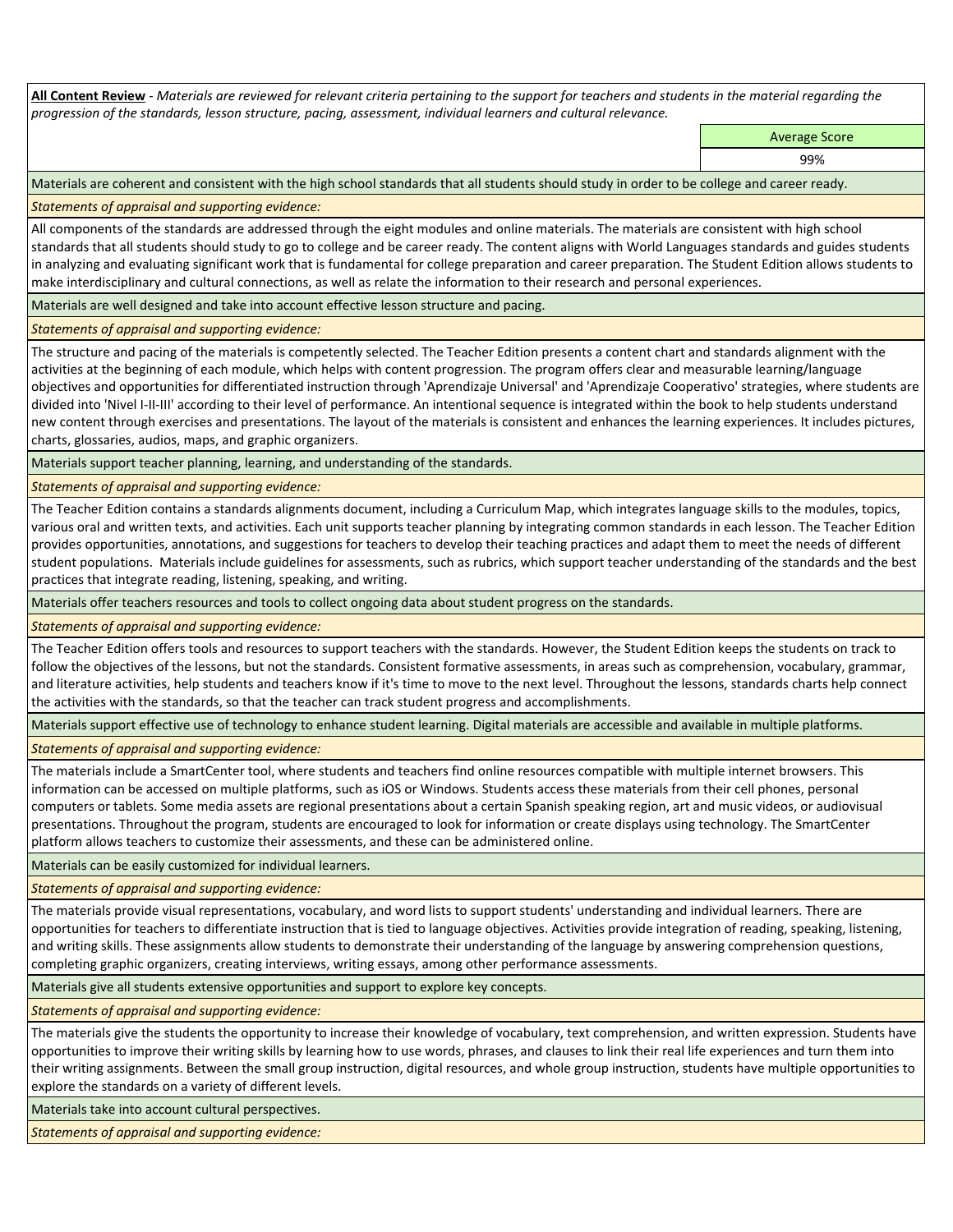**All Content Review** *- Materials are reviewed for relevant criteria pertaining to the support for teachers and students in the material regarding the progression of the standards, lesson structure, pacing, assessment, individual learners and cultural relevance.*

> Average Score 99%

Materials are coherent and consistent with the high school standards that all students should study in order to be college and career ready.

*Statements of appraisal and supporting evidence:*

All components of the standards are addressed through the eight modules and online materials. The materials are consistent with high school standards that all students should study to go to college and be career ready. The content aligns with World Languages standards and guides students in analyzing and evaluating significant work that is fundamental for college preparation and career preparation. The Student Edition allows students to make interdisciplinary and cultural connections, as well as relate the information to their research and personal experiences.

Materials are well designed and take into account effective lesson structure and pacing.

*Statements of appraisal and supporting evidence:*

The structure and pacing of the materials is competently selected. The Teacher Edition presents a content chart and standards alignment with the activities at the beginning of each module, which helps with content progression. The program offers clear and measurable learning/language objectives and opportunities for differentiated instruction through 'Aprendizaje Universal' and 'Aprendizaje Cooperativo' strategies, where students are divided into 'Nivel I-II-III' according to their level of performance. An intentional sequence is integrated within the book to help students understand new content through exercises and presentations. The layout of the materials is consistent and enhances the learning experiences. It includes pictures, charts, glossaries, audios, maps, and graphic organizers.

Materials support teacher planning, learning, and understanding of the standards.

*Statements of appraisal and supporting evidence:*

The Teacher Edition contains a standards alignments document, including a Curriculum Map, which integrates language skills to the modules, topics, various oral and written texts, and activities. Each unit supports teacher planning by integrating common standards in each lesson. The Teacher Edition provides opportunities, annotations, and suggestions for teachers to develop their teaching practices and adapt them to meet the needs of different student populations. Materials include guidelines for assessments, such as rubrics, which support teacher understanding of the standards and the best practices that integrate reading, listening, speaking, and writing.

Materials offer teachers resources and tools to collect ongoing data about student progress on the standards.

*Statements of appraisal and supporting evidence:*

The Teacher Edition offers tools and resources to support teachers with the standards. However, the Student Edition keeps the students on track to follow the objectives of the lessons, but not the standards. Consistent formative assessments, in areas such as comprehension, vocabulary, grammar, and literature activities, help students and teachers know if it's time to move to the next level. Throughout the lessons, standards charts help connect the activities with the standards, so that the teacher can track student progress and accomplishments.

Materials support effective use of technology to enhance student learning. Digital materials are accessible and available in multiple platforms.

*Statements of appraisal and supporting evidence:*

The materials include a SmartCenter tool, where students and teachers find online resources compatible with multiple internet browsers. This information can be accessed on multiple platforms, such as iOS or Windows. Students access these materials from their cell phones, personal computers or tablets. Some media assets are regional presentations about a certain Spanish speaking region, art and music videos, or audiovisual presentations. Throughout the program, students are encouraged to look for information or create displays using technology. The SmartCenter platform allows teachers to customize their assessments, and these can be administered online.

Materials can be easily customized for individual learners.

*Statements of appraisal and supporting evidence:* 

The materials provide visual representations, vocabulary, and word lists to support students' understanding and individual learners. There are opportunities for teachers to differentiate instruction that is tied to language objectives. Activities provide integration of reading, speaking, listening, and writing skills. These assignments allow students to demonstrate their understanding of the language by answering comprehension questions, completing graphic organizers, creating interviews, writing essays, among other performance assessments.

Materials give all students extensive opportunities and support to explore key concepts.

*Statements of appraisal and supporting evidence:*

The materials give the students the opportunity to increase their knowledge of vocabulary, text comprehension, and written expression. Students have opportunities to improve their writing skills by learning how to use words, phrases, and clauses to link their real life experiences and turn them into their writing assignments. Between the small group instruction, digital resources, and whole group instruction, students have multiple opportunities to explore the standards on a variety of different levels.

Materials take into account cultural perspectives.

*Statements of appraisal and supporting evidence:*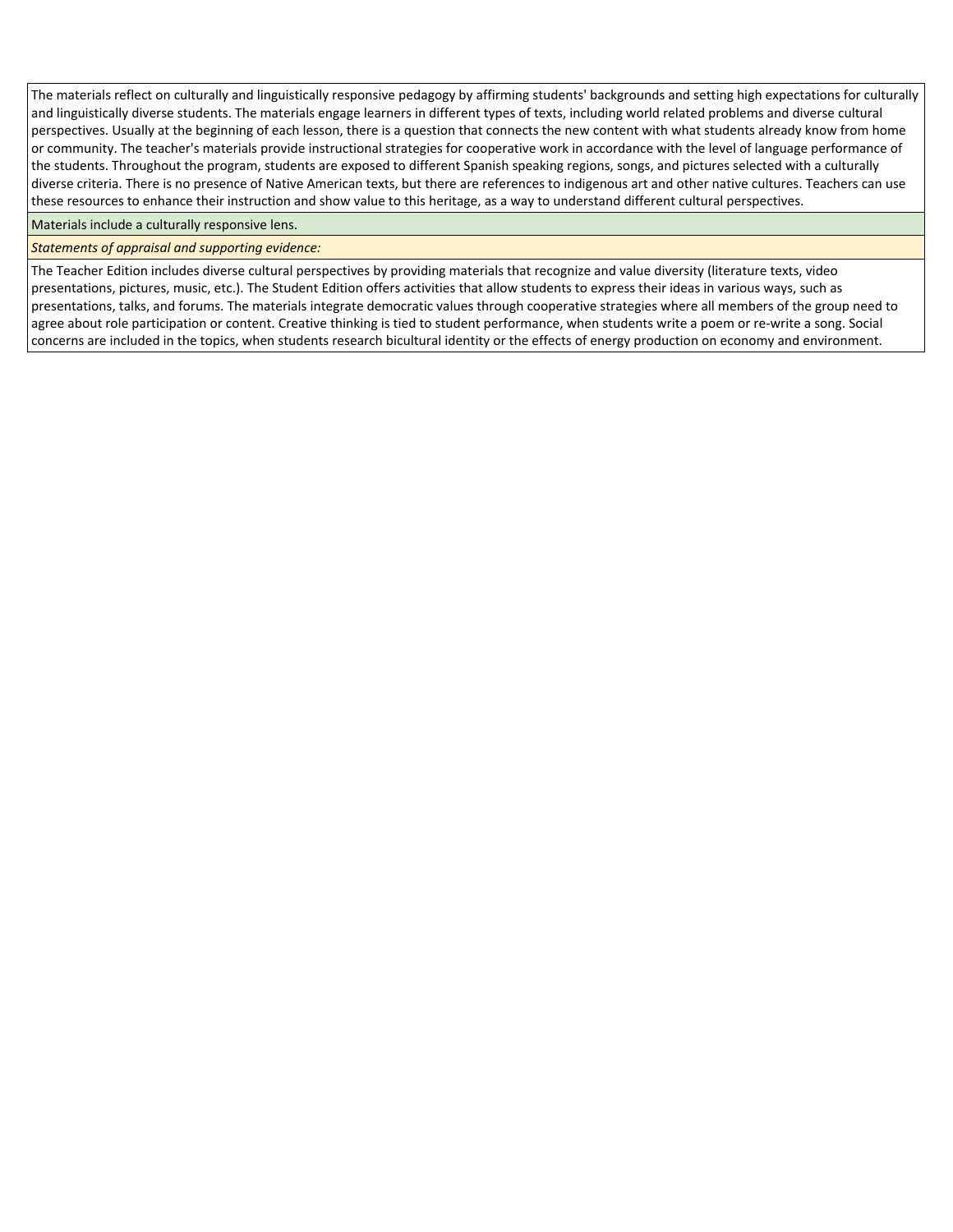The materials reflect on culturally and linguistically responsive pedagogy by affirming students' backgrounds and setting high expectations for culturally and linguistically diverse students. The materials engage learners in different types of texts, including world related problems and diverse cultural perspectives. Usually at the beginning of each lesson, there is a question that connects the new content with what students already know from home or community. The teacher's materials provide instructional strategies for cooperative work in accordance with the level of language performance of the students. Throughout the program, students are exposed to different Spanish speaking regions, songs, and pictures selected with a culturally diverse criteria. There is no presence of Native American texts, but there are references to indigenous art and other native cultures. Teachers can use these resources to enhance their instruction and show value to this heritage, as a way to understand different cultural perspectives.

Materials include a culturally responsive lens.

## *Statements of appraisal and supporting evidence:*

The Teacher Edition includes diverse cultural perspectives by providing materials that recognize and value diversity (literature texts, video presentations, pictures, music, etc.). The Student Edition offers activities that allow students to express their ideas in various ways, such as presentations, talks, and forums. The materials integrate democratic values through cooperative strategies where all members of the group need to agree about role participation or content. Creative thinking is tied to student performance, when students write a poem or re-write a song. Social concerns are included in the topics, when students research bicultural identity or the effects of energy production on economy and environment.